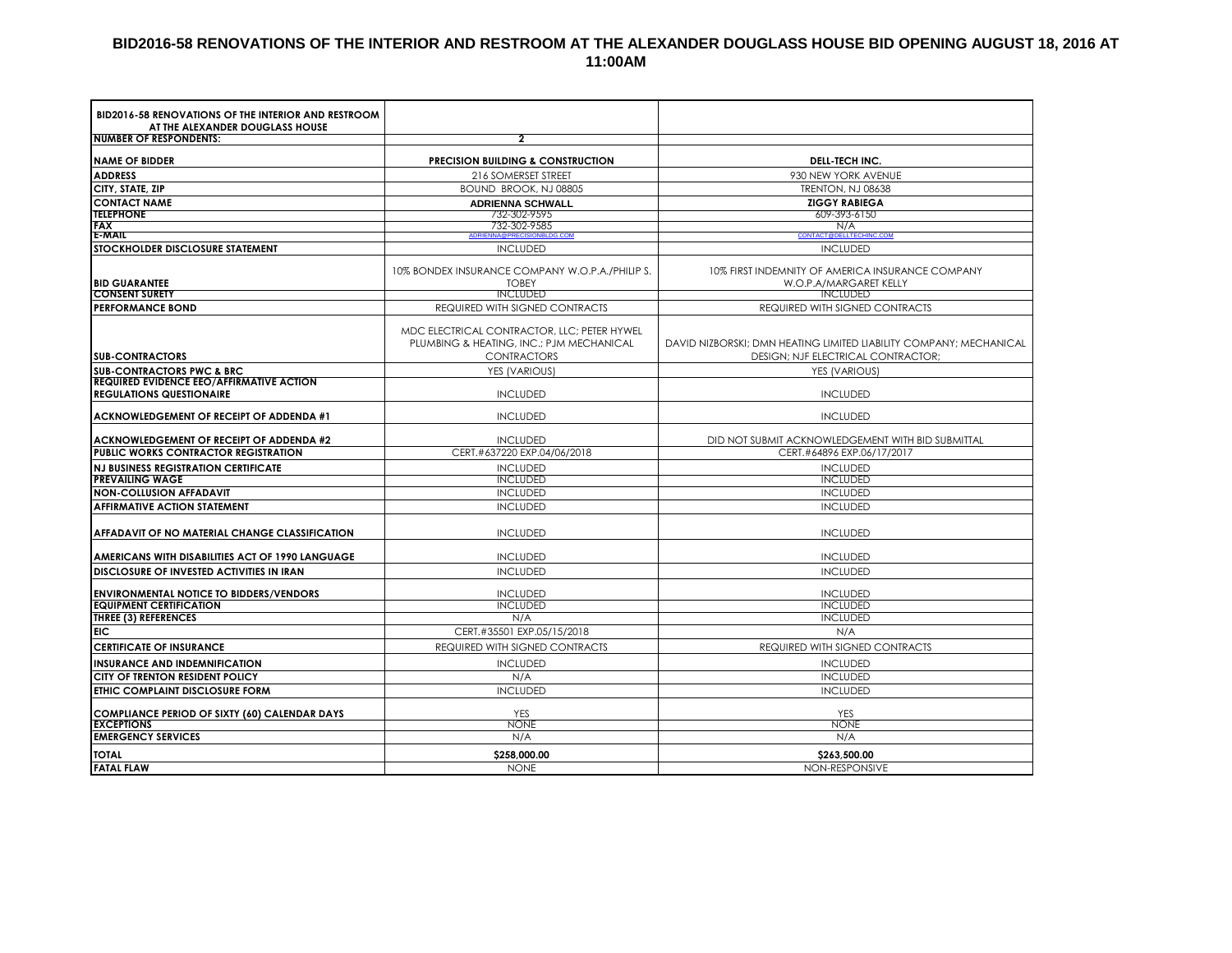### **BID2016-58 RENOVATIONS OF THE INTERIOR AND RESTROOM AT THE ALEXANDER DOUGLASS HOUSE BID OPENING AUGUST 18, 2016 AT 11:00AM**

| <b>BID2016-58 RENOVATIONS OF THE INTERIOR AND RESTROOM</b>                              |                                                 |                                                                    |
|-----------------------------------------------------------------------------------------|-------------------------------------------------|--------------------------------------------------------------------|
| AT THE ALEXANDER DOUGLASS HOUSE<br><b>NUMBER OF RESPONDENTS:</b>                        | $\overline{2}$                                  |                                                                    |
|                                                                                         |                                                 |                                                                    |
| <b>NAME OF BIDDER</b>                                                                   | <b>PRECISION BUILDING &amp; CONSTRUCTION</b>    | <b>DELI-TECH INC.</b>                                              |
| <b>ADDRESS</b>                                                                          | 216 SOMERSET STREET                             | 930 NEW YORK AVENUE                                                |
| CITY, STATE, ZIP                                                                        | BOUND BROOK, NJ 08805                           | <b>TRENTON, NJ 08638</b>                                           |
| <b>CONTACT NAME</b>                                                                     | <b>ADRIENNA SCHWALL</b>                         | <b>ZIGGY RABIEGA</b>                                               |
| <b>TELEPHONE</b>                                                                        | 732-302-9595                                    | 609-393-6150                                                       |
| <b>FAX</b><br><b>E-MAIL</b>                                                             | 732-302-9585<br>ADRIENNA@PRECISIONBLDG.COM      | N/A<br>CONTACT@DELLTECHINC.COM                                     |
| <b>STOCKHOLDER DISCLOSURE STATEMENT</b>                                                 | <b>INCLUDED</b>                                 | <b>INCLUDED</b>                                                    |
|                                                                                         |                                                 |                                                                    |
|                                                                                         | 10% BONDEX INSURANCE COMPANY W.O.P.A./PHILIP S. | 10% FIRST INDEMNITY OF AMERICA INSURANCE COMPANY                   |
| <b>BID GUARANTEE</b>                                                                    | <b>TOBEY</b>                                    | W.O.P.A/MARGARET KELLY                                             |
| <b>CONSENT SURETY</b>                                                                   | <b>INCLUDED</b>                                 | <b>INCLUDED</b>                                                    |
| <b>PERFORMANCE BOND</b>                                                                 | <b>REQUIRED WITH SIGNED CONTRACTS</b>           | <b>REQUIRED WITH SIGNED CONTRACTS</b>                              |
|                                                                                         | MDC ELECTRICAL CONTRACTOR, LLC: PETER HYWEL     |                                                                    |
|                                                                                         | PLUMBING & HEATING, INC.: PJM MECHANICAL        | DAVID NIZBORSKI: DMN HEATING LIMITED LIABILITY COMPANY: MECHANICAL |
| <b>SUB-CONTRACTORS</b>                                                                  | <b>CONTRACTORS</b>                              | DESIGN; NJF ELECTRICAL CONTRACTOR;                                 |
|                                                                                         |                                                 |                                                                    |
| <b>SUB-CONTRACTORS PWC &amp; BRC</b><br><b>REQUIRED EVIDENCE EEO/AFFIRMATIVE ACTION</b> | <b>YES (VARIOUS)</b>                            | <b>YES (VARIOUS)</b>                                               |
| <b>REGULATIONS QUESTIONAIRE</b>                                                         | <b>INCLUDED</b>                                 | <b>INCLUDED</b>                                                    |
|                                                                                         |                                                 |                                                                    |
| ACKNOWLEDGEMENT OF RECEIPT OF ADDENDA #1                                                | <b>INCLUDED</b>                                 | <b>INCLUDED</b>                                                    |
| <b>ACKNOWLEDGEMENT OF RECEIPT OF ADDENDA #2</b>                                         | <b>INCLUDED</b>                                 | DID NOT SUBMIT ACKNOWLEDGEMENT WITH BID SUBMITTAL                  |
| PUBLIC WORKS CONTRACTOR REGISTRATION                                                    | CERT.#637220 EXP.04/06/2018                     | CERT.#64896 EXP.06/17/2017                                         |
|                                                                                         |                                                 |                                                                    |
| <b>NJ BUSINESS REGISTRATION CERTIFICATE</b><br><b>PREVAILING WAGE</b>                   | <b>INCLUDED</b><br><b>INCLUDED</b>              | <b>INCLUDED</b><br><b>INCLUDED</b>                                 |
| <b>NON-COLLUSION AFFADAVIT</b>                                                          | <b>INCLUDED</b>                                 | <b>INCLUDED</b>                                                    |
| <b>AFFIRMATIVE ACTION STATEMENT</b>                                                     | <b>INCLUDED</b>                                 | <b>INCLUDED</b>                                                    |
|                                                                                         |                                                 |                                                                    |
| <b>AFFADAVIT OF NO MATERIAL CHANGE CLASSIFICATION</b>                                   | <b>INCLUDED</b>                                 | <b>INCLUDED</b>                                                    |
|                                                                                         |                                                 |                                                                    |
| AMERICANS WITH DISABILITIES ACT OF 1990 LANGUAGE                                        | <b>INCLUDED</b>                                 | <b>INCLUDED</b>                                                    |
| DISCLOSURE OF INVESTED ACTIVITIES IN IRAN                                               | <b>INCLUDED</b>                                 | <b>INCLUDED</b>                                                    |
| <b>ENVIRONMENTAL NOTICE TO BIDDERS/VENDORS</b>                                          | <b>INCLUDED</b>                                 | <b>INCLUDED</b>                                                    |
| <b>EQUIPMENT CERTIFICATION</b>                                                          | <b>INCLUDED</b>                                 | <b>INCLUDED</b>                                                    |
| <b>THREE (3) REFERENCES</b>                                                             | N/A                                             | <b>INCLUDED</b>                                                    |
| <b>EIC</b>                                                                              | CERT.#35501 EXP.05/15/2018                      | N/A                                                                |
| <b>CERTIFICATE OF INSURANCE</b>                                                         | REQUIRED WITH SIGNED CONTRACTS                  | REQUIRED WITH SIGNED CONTRACTS                                     |
| <b>INSURANCE AND INDEMNIFICATION</b>                                                    | <b>INCLUDED</b>                                 | <b>INCLUDED</b>                                                    |
| CITY OF TRENTON RESIDENT POLICY                                                         | N/A                                             | <b>INCLUDED</b>                                                    |
| ETHIC COMPLAINT DISCLOSURE FORM                                                         |                                                 |                                                                    |
|                                                                                         | <b>INCLUDED</b>                                 | <b>INCLUDED</b>                                                    |
| <b>COMPLIANCE PERIOD OF SIXTY (60) CALENDAR DAYS</b>                                    | <b>YES</b>                                      | <b>YES</b>                                                         |
| <b>EXCEPTIONS</b>                                                                       | <b>NONE</b>                                     | <b>NONE</b>                                                        |
| <b>EMERGENCY SERVICES</b>                                                               | N/A                                             | N/A                                                                |
| <b>TOTAL</b>                                                                            | \$258,000.00                                    | \$263,500.00                                                       |
| <b>FATAL FLAW</b>                                                                       | <b>NONE</b>                                     | NON-RESPONSIVE                                                     |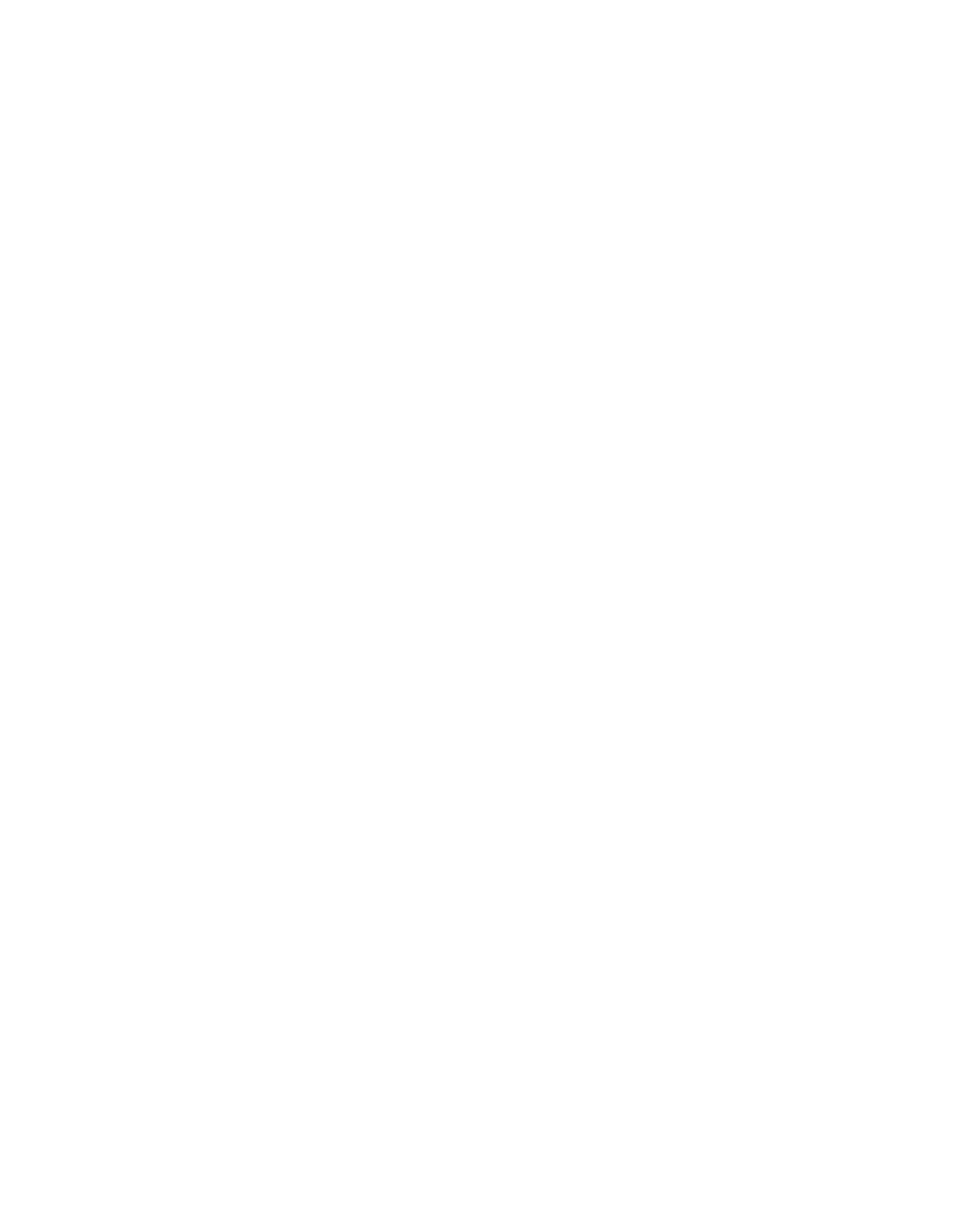## BID2016-58 RENOVATIONS OF THE INTERIOR AND RESTROOM AT THE ALEXANDER DOUGLASS HOUSE BID OPENING 11:00AM

| BID2016-58 RENOVATIONS OF THE INTERIOR AND RESTROO                   |                                                                                                               |                                                                                           |
|----------------------------------------------------------------------|---------------------------------------------------------------------------------------------------------------|-------------------------------------------------------------------------------------------|
| AT THE ALEXANDER DOUGLASS HOUSE<br>NUMBER OF RESPONDENTS:            | 2                                                                                                             |                                                                                           |
| NAME OF BIDDER                                                       | PRECISION BUILDING & CONSTRUCTION                                                                             | DELL-TECH INC.                                                                            |
| <b>ADDRESS</b>                                                       | 216 SOMERSET STREET                                                                                           | 930 NEW YORK AVENUE                                                                       |
| CITY, STATE, ZIP                                                     | BOUND BROOK, NJ 08805                                                                                         | TRENTON, NJ 08638                                                                         |
| <b>CONTACT NAME</b>                                                  | <b>ADRIENNA SCHWALL</b>                                                                                       | <b>ZIGGY RABIEGA</b>                                                                      |
| <b>TELEPHONE</b>                                                     | 732-302-9595                                                                                                  | 609-393-6150                                                                              |
| FAX                                                                  | 732-302-9585                                                                                                  | N/A                                                                                       |
| E-MAIL                                                               | ADRIENNA@PRECISIONBLDG.COM                                                                                    | CONTACT@DELLTECHINC.COM                                                                   |
| STOCKHOLDER DISCLOSURE STATEMENT                                     | <b>INCLUDED</b>                                                                                               | <b>INCLUDED</b>                                                                           |
| <b>BID GUARANTEE</b>                                                 | 10% BONDEX INSURANCE COMPANY W.O.P.A./PHILIP S.<br><b>TOBEY</b>                                               | 10% FIRST INDEMNITY OF AMERICA INSURANCE O<br>W.O.P.A/MARGARET KELLY                      |
| <b>CONSENT SURETY</b>                                                | <b>INCLUDED</b>                                                                                               | <b>INCLUDED</b>                                                                           |
| PERFORMANCE BOND                                                     | REQUIRED WITH SIGNED CONTRACTS                                                                                | REQUIRED WITH SIGNED CONTRACTS                                                            |
| SUB-CONTRACTORS                                                      | MDC ELECTRICAL CONTRACTOR. LLC: PETER HYWEL<br>PLUMBING & HEATING, INC.; PJM MECHANICAL<br><b>CONTRACTORS</b> | DAVID NIZBORSKI; DMN HEATING LIMITED LIABILITY COMP<br>DESIGN; NJF ELECTRICAL CONTRACTOR: |
| SUB-CONTRACTORS PWC & BRC                                            | YES (VARIOUS)                                                                                                 | <b>YES (VARIOUS)</b>                                                                      |
| REQUIRED EVIDENCE EEO/AFFIRMATIVE ACTION<br>REGULATIONS QUESTIONAIRE | <b>INCLUDED</b>                                                                                               | <b>INCLUDED</b>                                                                           |
| ACKNOWLEDGEMENT OF RECEIPT OF ADDENDA #1                             | <b>INCLUDED</b>                                                                                               | <b>INCLUDED</b>                                                                           |
| ACKNOWLEDGEMENT OF RECEIPT OF ADDENDA #2                             | <b>INCLUDED</b>                                                                                               | DID NOT SUBMIT ACKNOWLEDGEMENT WITH BID \$                                                |
| PUBLIC WORKS CONTRACTOR REGISTRATION                                 | CERT.#637220 EXP.04/06/2018                                                                                   | CERT.#64896 EXP.06/17/2017                                                                |
| NJ BUSINESS REGISTRATION CERTIFICATE                                 | <b>INCLUDED</b>                                                                                               | <b>INCLUDED</b>                                                                           |
| PREVAILING WAGE                                                      | <b>INCLUDED</b>                                                                                               | <b>INCLUDED</b>                                                                           |
| NON-COLLUSION AFFADAVIT                                              | <b>INCLUDED</b>                                                                                               | <b>INCLUDED</b>                                                                           |
| AFFIRMATIVE ACTION STATEMENT                                         | <b>INCLUDED</b>                                                                                               | <b>INCLUDED</b>                                                                           |
| AFFADAVIT OF NO MATERIAL CHANGE CLASSIFICATION                       | <b>INCLUDED</b>                                                                                               | <b>INCLUDED</b>                                                                           |
| AMERICANS WITH DISABILITIES ACT OF 1990 LANGUAGE                     | <b>INCLUDED</b>                                                                                               | <b>INCLUDED</b>                                                                           |
| DISCLOSURE OF INVESTED ACTIVITIES IN IRAN                            | <b>INCLUDED</b>                                                                                               | <b>INCLUDED</b>                                                                           |
| ENVIRONMENTAL NOTICE TO BIDDERS/VENDORS                              | <b>INCLUDED</b>                                                                                               | <b>INCLUDED</b>                                                                           |
| <b>EQUIPMENT CERTIFICATION</b>                                       | <b>INCLUDED</b>                                                                                               | <b>INCLUDED</b>                                                                           |
| THREE (3) REFERENCES                                                 | N/A                                                                                                           | <b>INCLUDED</b>                                                                           |
| <b>EIC</b>                                                           | CERT.#35501 EXP.05/15/2018                                                                                    | N/A                                                                                       |
| CERTIFICATE OF INSURANCE                                             | REQUIRED WITH SIGNED CONTRACTS                                                                                | REQUIRED WITH SIGNED CONTRACTS                                                            |
| INSURANCE AND INDEMNIFICATION                                        | <b>INCLUDED</b>                                                                                               | <b>INCLUDED</b>                                                                           |
| CITY OF TRENTON RESIDENT POLICY                                      | N/A                                                                                                           | <b>INCLUDED</b>                                                                           |
| ETHIC COMPLAINT DISCLOSURE FORM                                      | <b>INCLUDED</b>                                                                                               | <b>INCLUDED</b>                                                                           |
| COMPLIANCE PERIOD OF SIXTY (60) CALENDAR DAYS                        | <b>YES</b>                                                                                                    | <b>YES</b>                                                                                |
| <b>EXCEPTIONS</b>                                                    | <b>NONE</b>                                                                                                   | <b>NONE</b>                                                                               |
| <b>EMERGENCY SERVICES</b>                                            | N/A                                                                                                           | N/A                                                                                       |
| <b>TOTAL</b>                                                         | \$258,000.00                                                                                                  | \$263,500.00                                                                              |
| FATAL FLAW                                                           | <b>NONE</b>                                                                                                   | NON-RESPONSIVE                                                                            |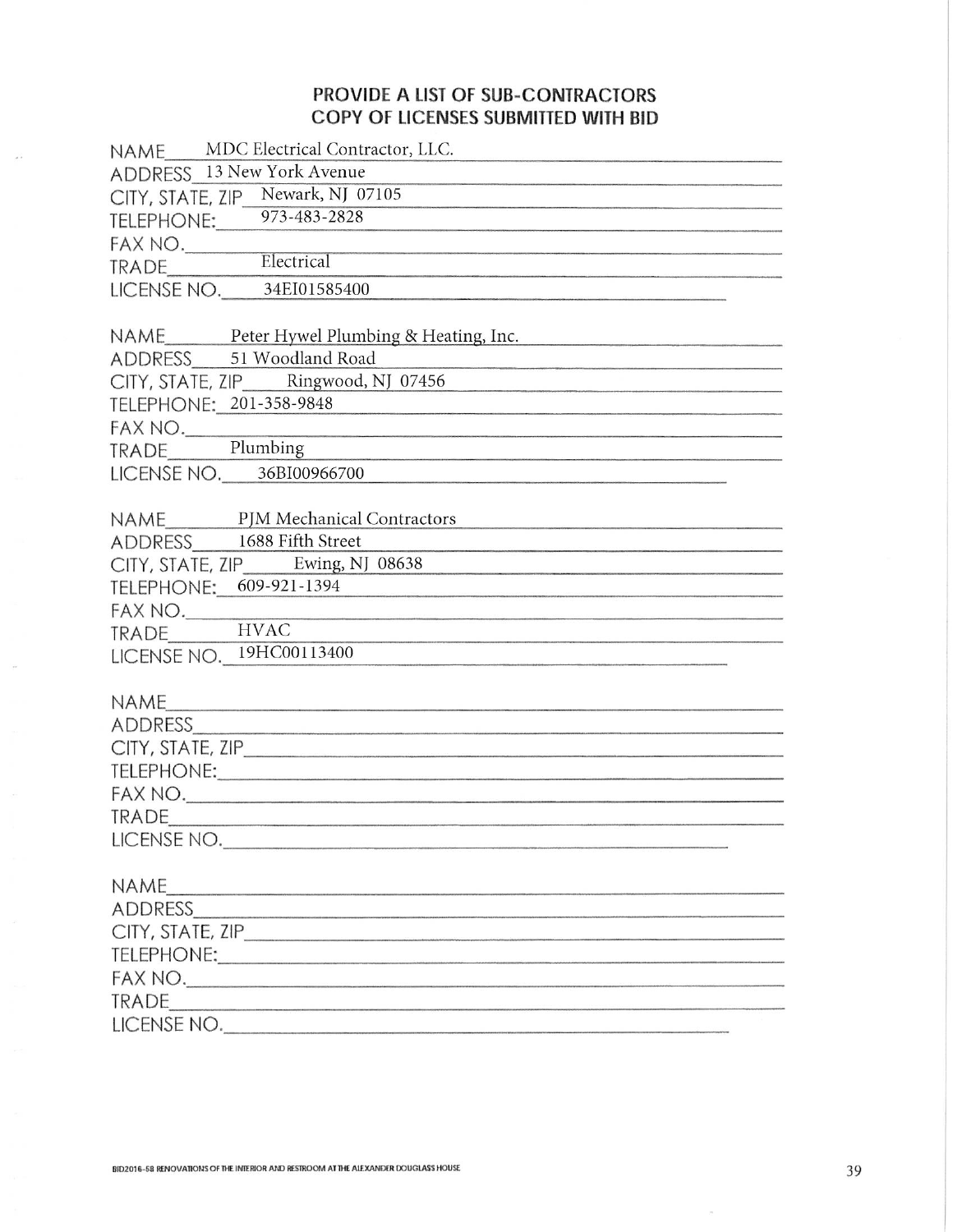# PROVIDE A LIST OF SUB-CONTRACTORS COPY OF LICENSES SUBMITTED WITH BID

| NAME MDC Electrical Contractor, LLC.                                                                          |
|---------------------------------------------------------------------------------------------------------------|
| ADDRESS 13 New York Avenue                                                                                    |
| CITY, STATE, ZIP_Newark, NJ 07105                                                                             |
| TELEPHONE: 973-483-2828                                                                                       |
| $\begin{array}{cc}\nFAX NO. \quad \text{Electrical} \\ \hline\n\text{The image} \\ \end{array}$               |
| <b>TRADE</b>                                                                                                  |
| LICENSE NO. 34EI01585400                                                                                      |
|                                                                                                               |
| NAME Peter Hywel Plumbing & Heating, Inc.                                                                     |
| ADDRESS 51 Woodland Road                                                                                      |
| CITY, STATE, ZIP_____Ringwood, NJ 07456                                                                       |
| TELEPHONE: 201-358-9848                                                                                       |
|                                                                                                               |
|                                                                                                               |
| LICENSE NO. 36BI00966700                                                                                      |
|                                                                                                               |
| NAME PJM Mechanical Contractors                                                                               |
| ADDRESS 1688 Fifth Street                                                                                     |
| CITY, STATE, ZIP Ewing, NJ 08638                                                                              |
| TELEPHONE: 609-921-1394                                                                                       |
| $\begin{tabular}{ c c c } \hline \text{FAX NO.} \quad \quad & \text{---} \quad \quad \\ \hline \end{tabular}$ |
| TRADE______HVAC<br>LICENSE NO. 19HC00113400                                                                   |
|                                                                                                               |
|                                                                                                               |
| NAME                                                                                                          |
|                                                                                                               |
|                                                                                                               |
|                                                                                                               |
|                                                                                                               |
| LICENSE NO.                                                                                                   |
| <b>The Contract Community</b>                                                                                 |
| NAME                                                                                                          |
|                                                                                                               |
|                                                                                                               |
|                                                                                                               |
|                                                                                                               |
|                                                                                                               |
| LICENSE NO.                                                                                                   |
|                                                                                                               |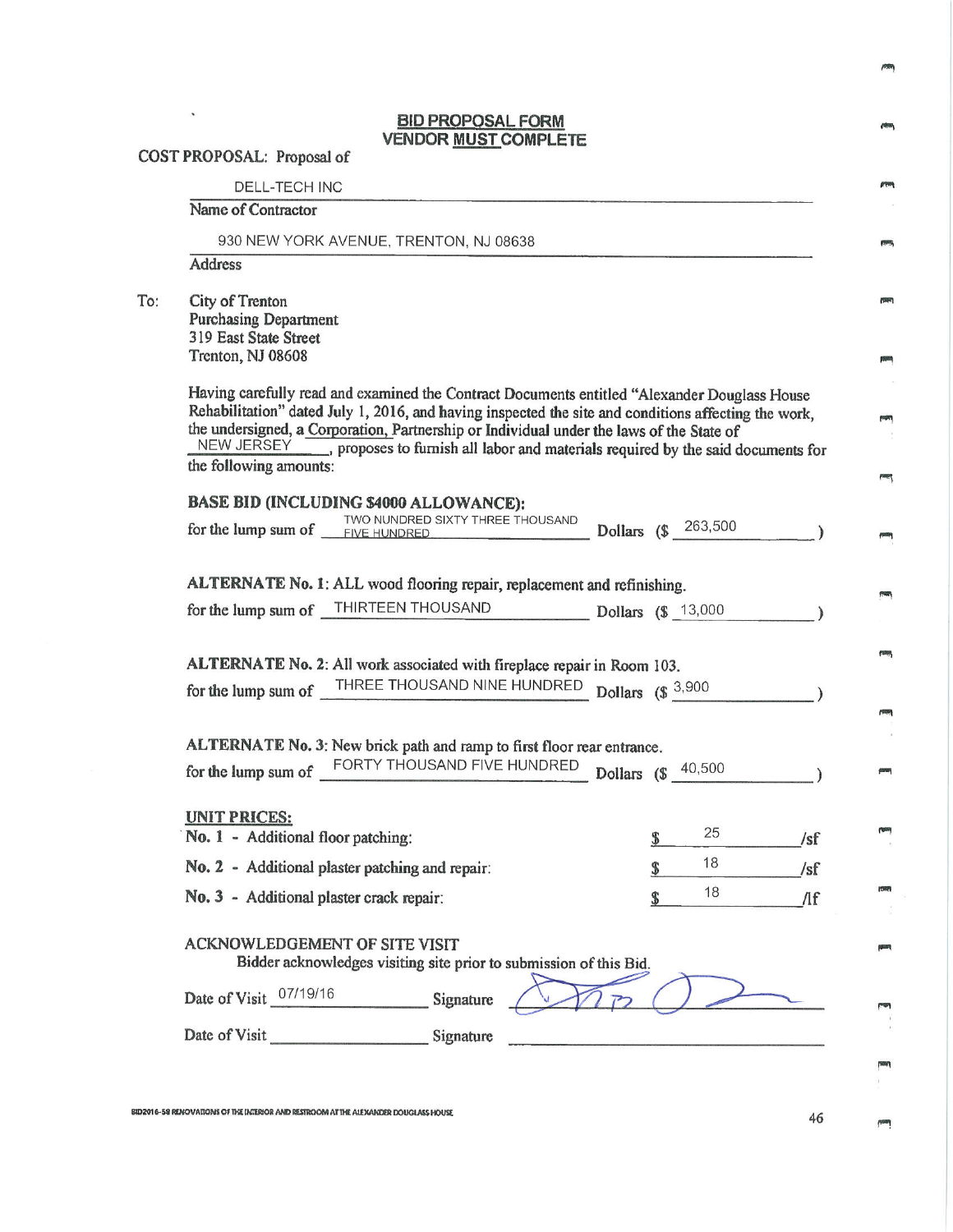| <b>BID PROPOSAL FORM</b>    |  |
|-----------------------------|--|
| <b>VENDOR MUST COMPLETE</b> |  |

|  | COST PROPOSAL: Proposal of |  |
|--|----------------------------|--|
|  |                            |  |

**DELL-TECH INC** Name of Contractor 930 NEW YORK AVENUE, TRENTON, NJ 08638 Address To: City of Trenton **Purchasing Department** 319 East State Street Trenton, NJ 08608 Having carefully read and examined the Contract Documents entitled "Alexander Douglass House Rehabilitation" dated July 1, 2016, and having inspected the site and conditions affecting the work. the undersigned, a Corporation, Partnership or Individual under the laws of the State of NEW JERSEY , proposes to furnish all labor and materials required by the said documents for the following amounts: BASE BID (INCLUDING \$4000 ALLOWANCE): TWO NUNDRED SIXTY THREE THOUSAND Dollars (\$ 263,500 for the lump sum of FIVE HUNDRED ALTERNATE No. 1: ALL wood flooring repair, replacement and refinishing. for the lump sum of THIRTEEN THOUSAND Dollars (\$ 13,000 ALTERNATE No. 2: All work associated with fireplace repair in Room 103. for the lump sum of THREE THOUSAND NINE HUNDRED Dollars  $$^{3,900}$ ALTERNATE No. 3: New brick path and ramp to first floor rear entrance. for the lump sum of FORTY THOUSAND FIVE HUNDRED Dollars (\$ 40,500 **UNIT PRICES:** 25 No. 1 - Additional floor patching: S /sf 18 No. 2 - Additional plaster patching and repair: /sf 18 No. 3 - Additional plaster crack repair: Лf ACKNOWLEDGEMENT OF SITE VISIT Bidder acknowledges visiting site prior to submission of this Bid. Date of Visit 07/19/16 Signature Date of Visit Signature

BID2016-59 RENOVATIONS OF THE INTERIOR AND RESTROOM AT THE AIE MANDER DOUGLASS HOUSE

46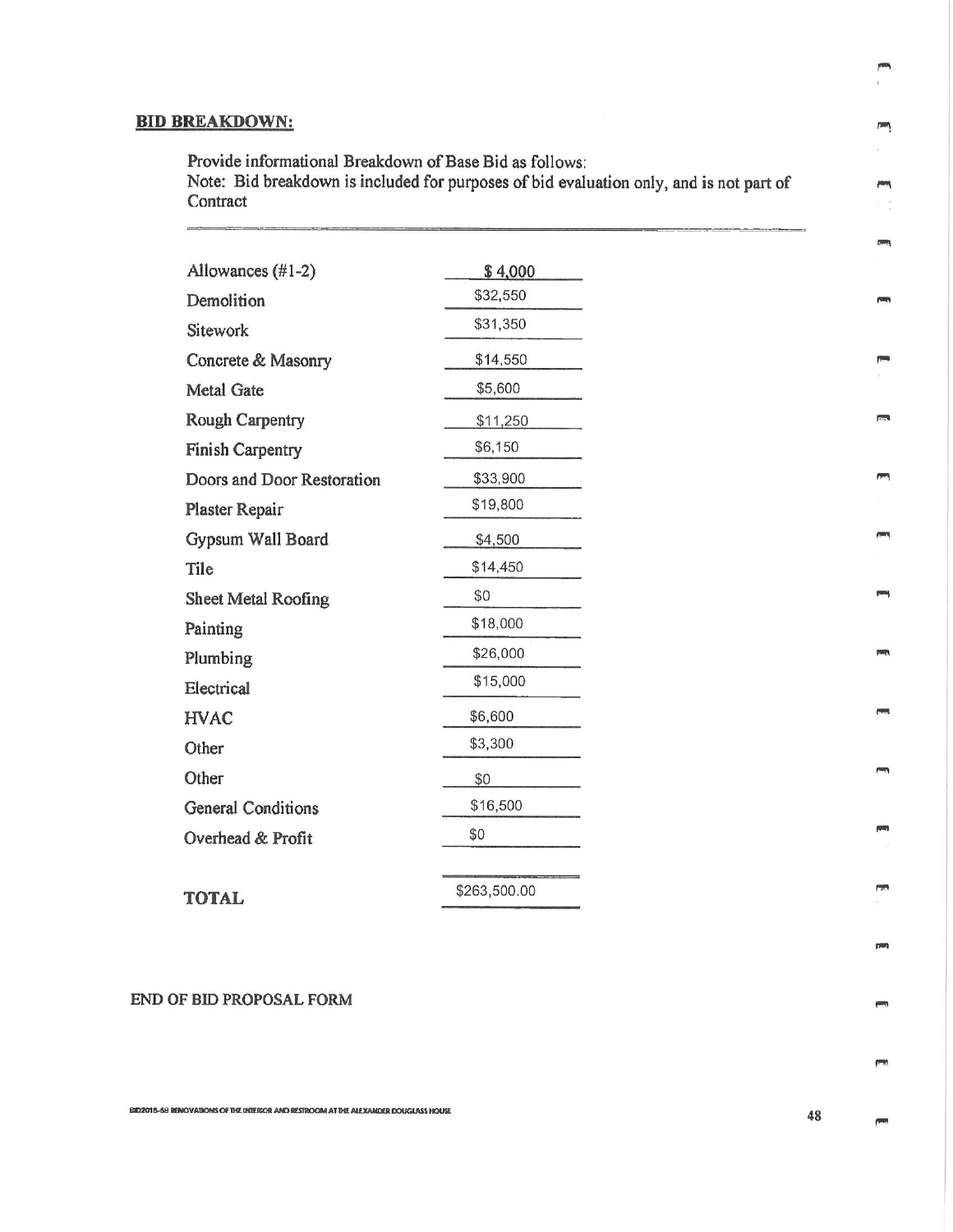## **BID BREAKDOWN:**

Provide informational Breakdown of Base Bid as follows: Note: Bid breakdown is included for purposes of bid evaluation only, and is not part of Contract

| Allowances $(\#1-2)$       | \$4,000      |
|----------------------------|--------------|
| Demolition                 | \$32,550     |
| Sitework                   | \$31,350     |
| Concrete & Masonry         | \$14,550     |
| <b>Metal Gate</b>          | \$5,600      |
| Rough Carpentry            | \$11,250     |
| <b>Finish Carpentry</b>    | \$6,150      |
| Doors and Door Restoration | \$33,900     |
| Plaster Repair             | \$19,800     |
| Gypsum Wall Board          | \$4,500      |
| Tile                       | \$14,450     |
| <b>Sheet Metal Roofing</b> | \$0          |
| Painting                   | \$18,000     |
| Plumbing                   | \$26,000     |
| Electrical                 | \$15,000     |
| <b>HVAC</b>                | \$6,600      |
| Other                      | \$3,300      |
| Other                      | \$0          |
| <b>General Conditions</b>  | \$16,500     |
| Overhead & Profit          | \$0          |
|                            |              |
| <b>TOTAL</b>               | \$263,500.00 |

#### END OF BID PROPOSAL FORM

48

 $\overline{a}$ 

pans,

prom<sub>3</sub>

 $\lim$ 

**PRAY** 

**Comment** 

**FOREY** 

 $\overline{m}$ 

**Paul** 

**PRIT** 

m

pan

 $\blacksquare$ 

**CONTINUES** 

**COM** 

pany.